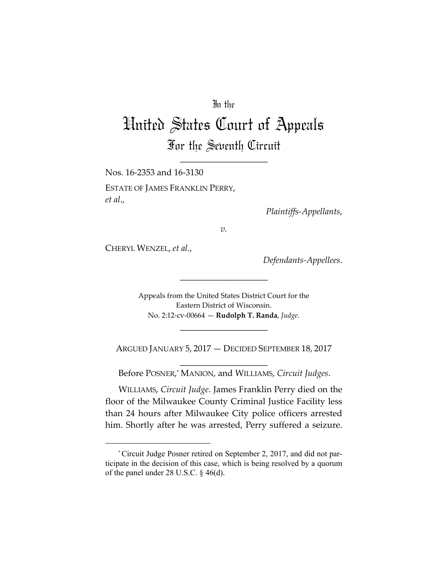## In the

# United States Court of Appeals For the Seventh Circuit

\_\_\_\_\_\_\_\_\_\_\_\_\_\_\_\_\_\_\_\_

Nos. 16‐2353 and 16‐3130 ESTATE OF JAMES FRANKLIN PERRY, *et al*.,

*Plaintiffs‐Appellants*,

*v.*

CHERYL WENZEL, *et al.*,

*Defendants‐Appellees*.

Appeals from the United States District Court for the Eastern District of Wisconsin. No. 2:12‐cv‐00664 — **Rudolph T. Randa**, *Judge*.

\_\_\_\_\_\_\_\_\_\_\_\_\_\_\_\_\_\_\_\_

ARGUED JANUARY 5, 2017 — DECIDED SEPTEMBER 18, 2017

\_\_\_\_\_\_\_\_\_\_\_\_\_\_\_\_\_\_\_\_

\_\_\_\_\_\_\_\_\_\_\_\_\_\_\_\_\_\_\_\_ Before POSNER, \* MANION, and WILLIAMS, *Circuit Judges*.

WILLIAMS, *Circuit Judge*. James Franklin Perry died on the floor of the Milwaukee County Criminal Justice Facility less than 24 hours after Milwaukee City police officers arrested him. Shortly after he was arrested, Perry suffered a seizure.

<sup>\*</sup>Circuit Judge Posner retired on September 2, 2017, and did not participate in the decision of this case, which is being resolved by a quorum of the panel under 28 U.S.C. § 46(d).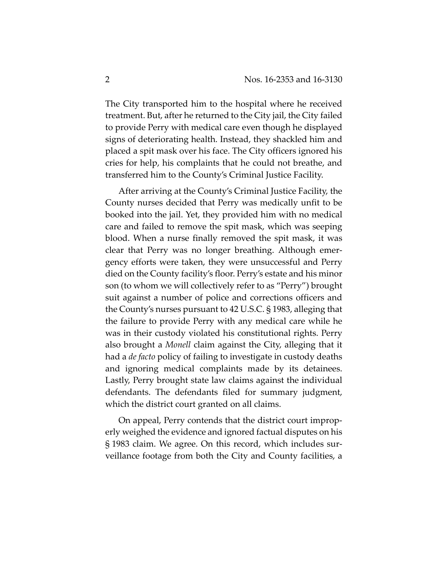The City transported him to the hospital where he received treatment. But, after he returned to the City jail, the City failed to provide Perry with medical care even though he displayed signs of deteriorating health. Instead, they shackled him and placed a spit mask over his face. The City officers ignored his cries for help, his complaints that he could not breathe, and transferred him to the County's Criminal Justice Facility.

After arriving at the County's Criminal Justice Facility, the County nurses decided that Perry was medically unfit to be booked into the jail. Yet, they provided him with no medical care and failed to remove the spit mask, which was seeping blood. When a nurse finally removed the spit mask, it was clear that Perry was no longer breathing. Although emer‐ gency efforts were taken, they were unsuccessful and Perry died on the County facility's floor. Perry's estate and his minor son (to whom we will collectively refer to as "Perry") brought suit against a number of police and corrections officers and the County's nurses pursuant to 42 U.S.C. § 1983, alleging that the failure to provide Perry with any medical care while he was in their custody violated his constitutional rights. Perry also brought a *Monell* claim against the City, alleging that it had a *de facto* policy of failing to investigate in custody deaths and ignoring medical complaints made by its detainees. Lastly, Perry brought state law claims against the individual defendants. The defendants filed for summary judgment, which the district court granted on all claims.

On appeal, Perry contends that the district court improp‐ erly weighed the evidence and ignored factual disputes on his § 1983 claim. We agree. On this record, which includes sur‐ veillance footage from both the City and County facilities, a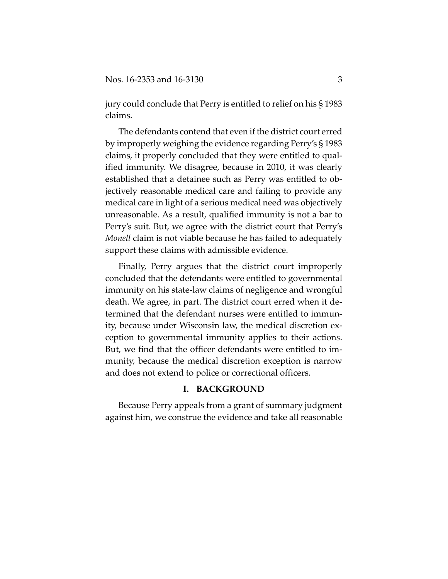jury could conclude that Perry is entitled to relief on his § 1983 claims.

The defendants contend that even if the district court erred by improperly weighing the evidence regarding Perry's § 1983 claims, it properly concluded that they were entitled to qual‐ ified immunity. We disagree, because in 2010, it was clearly established that a detainee such as Perry was entitled to ob‐ jectively reasonable medical care and failing to provide any medical care in light of a serious medical need was objectively unreasonable. As a result, qualified immunity is not a bar to Perry's suit. But, we agree with the district court that Perry's *Monell* claim is not viable because he has failed to adequately support these claims with admissible evidence.

Finally, Perry argues that the district court improperly concluded that the defendants were entitled to governmental immunity on his state‐law claims of negligence and wrongful death. We agree, in part. The district court erred when it de‐ termined that the defendant nurses were entitled to immun‐ ity, because under Wisconsin law, the medical discretion ex‐ ception to governmental immunity applies to their actions. But, we find that the officer defendants were entitled to im‐ munity, because the medical discretion exception is narrow and does not extend to police or correctional officers.

#### **I. BACKGROUND**

Because Perry appeals from a grant of summary judgment against him, we construe the evidence and take all reasonable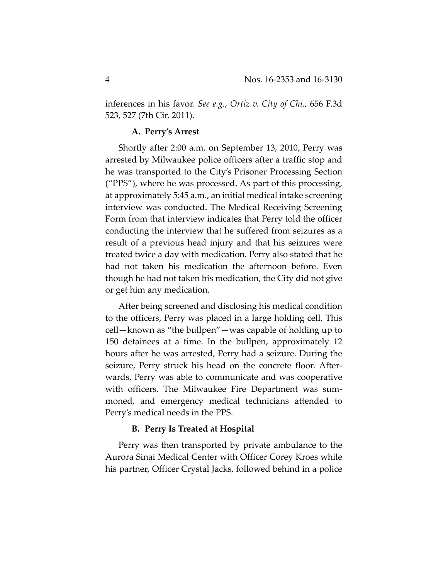inferences in his favor. *See e.g.*, *Ortiz v. City of Chi.*, 656 F.3d 523, 527 (7th Cir. 2011).

## **A. Perry's Arrest**

Shortly after 2:00 a.m. on September 13, 2010, Perry was arrested by Milwaukee police officers after a traffic stop and he was transported to the City's Prisoner Processing Section ("PPS"), where he was processed. As part of this processing, at approximately 5:45 a.m., an initial medical intake screening interview was conducted. The Medical Receiving Screening Form from that interview indicates that Perry told the officer conducting the interview that he suffered from seizures as a result of a previous head injury and that his seizures were treated twice a day with medication. Perry also stated that he had not taken his medication the afternoon before. Even though he had not taken his medication, the City did not give or get him any medication.

After being screened and disclosing his medical condition to the officers, Perry was placed in a large holding cell. This cell—known as "the bullpen"—was capable of holding up to 150 detainees at a time. In the bullpen, approximately 12 hours after he was arrested, Perry had a seizure. During the seizure, Perry struck his head on the concrete floor. After‐ wards, Perry was able to communicate and was cooperative with officers. The Milwaukee Fire Department was summoned, and emergency medical technicians attended to Perry's medical needs in the PPS.

#### **B. Perry Is Treated at Hospital**

Perry was then transported by private ambulance to the Aurora Sinai Medical Center with Officer Corey Kroes while his partner, Officer Crystal Jacks, followed behind in a police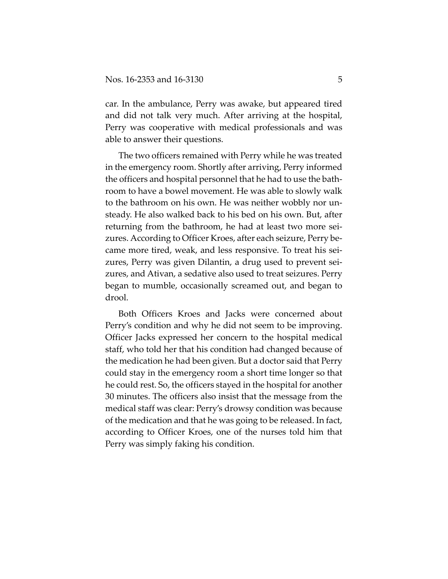car. In the ambulance, Perry was awake, but appeared tired and did not talk very much. After arriving at the hospital, Perry was cooperative with medical professionals and was able to answer their questions.

The two officers remained with Perry while he was treated in the emergency room. Shortly after arriving, Perry informed the officers and hospital personnel that he had to use the bath‐ room to have a bowel movement. He was able to slowly walk to the bathroom on his own. He was neither wobbly nor un‐ steady. He also walked back to his bed on his own. But, after returning from the bathroom, he had at least two more sei‐ zures. According to Officer Kroes, after each seizure, Perry be‐ came more tired, weak, and less responsive. To treat his sei‐ zures, Perry was given Dilantin, a drug used to prevent sei‐ zures, and Ativan, a sedative also used to treat seizures. Perry began to mumble, occasionally screamed out, and began to drool.

Both Officers Kroes and Jacks were concerned about Perry's condition and why he did not seem to be improving. Officer Jacks expressed her concern to the hospital medical staff, who told her that his condition had changed because of the medication he had been given. But a doctor said that Perry could stay in the emergency room a short time longer so that he could rest. So, the officers stayed in the hospital for another 30 minutes. The officers also insist that the message from the medical staff was clear: Perry's drowsy condition was because of the medication and that he was going to be released. In fact, according to Officer Kroes, one of the nurses told him that Perry was simply faking his condition.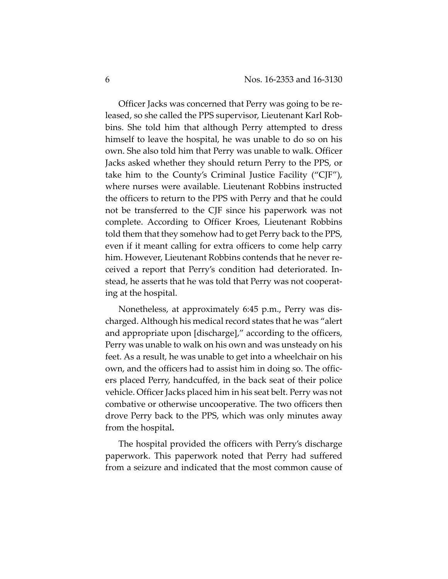Officer Jacks was concerned that Perry was going to be re‐ leased, so she called the PPS supervisor, Lieutenant Karl Rob‐ bins. She told him that although Perry attempted to dress himself to leave the hospital, he was unable to do so on his own. She also told him that Perry was unable to walk. Officer Jacks asked whether they should return Perry to the PPS, or take him to the County's Criminal Justice Facility ("CJF"), where nurses were available. Lieutenant Robbins instructed the officers to return to the PPS with Perry and that he could not be transferred to the CJF since his paperwork was not complete. According to Officer Kroes, Lieutenant Robbins told them that they somehow had to get Perry back to the PPS, even if it meant calling for extra officers to come help carry him. However, Lieutenant Robbins contends that he never received a report that Perry's condition had deteriorated. In‐ stead, he asserts that he was told that Perry was not cooperat‐ ing at the hospital.

Nonetheless, at approximately 6:45 p.m., Perry was dis‐ charged. Although his medical record states that he was "alert and appropriate upon [discharge]," according to the officers, Perry was unable to walk on his own and was unsteady on his feet. As a result, he was unable to get into a wheelchair on his own, and the officers had to assist him in doing so. The offic‐ ers placed Perry, handcuffed, in the back seat of their police vehicle. Officer Jacks placed him in his seat belt. Perry was not combative or otherwise uncooperative. The two officers then drove Perry back to the PPS, which was only minutes away from the hospital**.**

The hospital provided the officers with Perry's discharge paperwork. This paperwork noted that Perry had suffered from a seizure and indicated that the most common cause of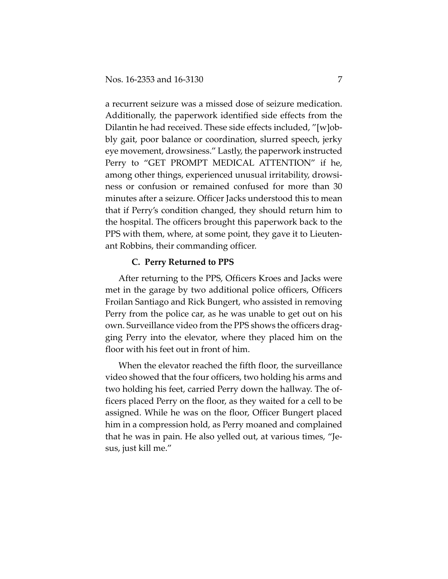a recurrent seizure was a missed dose of seizure medication. Additionally, the paperwork identified side effects from the Dilantin he had received. These side effects included, "[w]obbly gait, poor balance or coordination, slurred speech, jerky eye movement, drowsiness." Lastly, the paperwork instructed Perry to "GET PROMPT MEDICAL ATTENTION" if he, among other things, experienced unusual irritability, drowsi‐ ness or confusion or remained confused for more than 30 minutes after a seizure. Officer Jacks understood this to mean that if Perry's condition changed, they should return him to the hospital. The officers brought this paperwork back to the PPS with them, where, at some point, they gave it to Lieuten‐ ant Robbins, their commanding officer.

## **C. Perry Returned to PPS**

After returning to the PPS, Officers Kroes and Jacks were met in the garage by two additional police officers, Officers Froilan Santiago and Rick Bungert, who assisted in removing Perry from the police car, as he was unable to get out on his own. Surveillance video from the PPS shows the officers drag‐ ging Perry into the elevator, where they placed him on the floor with his feet out in front of him.

When the elevator reached the fifth floor, the surveillance video showed that the four officers, two holding his arms and two holding his feet, carried Perry down the hallway. The of‐ ficers placed Perry on the floor, as they waited for a cell to be assigned. While he was on the floor, Officer Bungert placed him in a compression hold, as Perry moaned and complained that he was in pain. He also yelled out, at various times, "Je‐ sus, just kill me."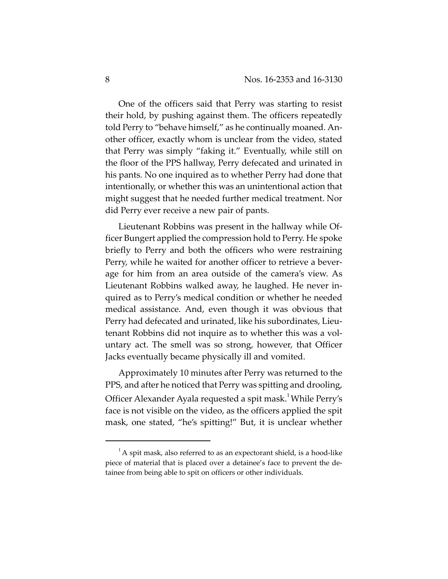One of the officers said that Perry was starting to resist their hold, by pushing against them. The officers repeatedly told Perry to "behave himself," as he continually moaned. An‐ other officer, exactly whom is unclear from the video, stated that Perry was simply "faking it." Eventually, while still on the floor of the PPS hallway, Perry defecated and urinated in his pants. No one inquired as to whether Perry had done that intentionally, or whether this was an unintentional action that might suggest that he needed further medical treatment. Nor did Perry ever receive a new pair of pants.

Lieutenant Robbins was present in the hallway while Of‐ ficer Bungert applied the compression hold to Perry. He spoke briefly to Perry and both the officers who were restraining Perry, while he waited for another officer to retrieve a bever‐ age for him from an area outside of the camera's view. As Lieutenant Robbins walked away, he laughed. He never in‐ quired as to Perry's medical condition or whether he needed medical assistance. And, even though it was obvious that Perry had defecated and urinated, like his subordinates, Lieu‐ tenant Robbins did not inquire as to whether this was a vol‐ untary act. The smell was so strong, however, that Officer Jacks eventually became physically ill and vomited.

Approximately 10 minutes after Perry was returned to the PPS, and after he noticed that Perry was spitting and drooling, Officer Alexander Ayala requested a spit mask.<sup>1</sup> While Perry's face is not visible on the video, as the officers applied the spit mask, one stated, "he's spitting!" But, it is unclear whether

 $^{1}$ A spit mask, also referred to as an expectorant shield, is a hood-like piece of material that is placed over a detainee's face to prevent the de‐ tainee from being able to spit on officers or other individuals.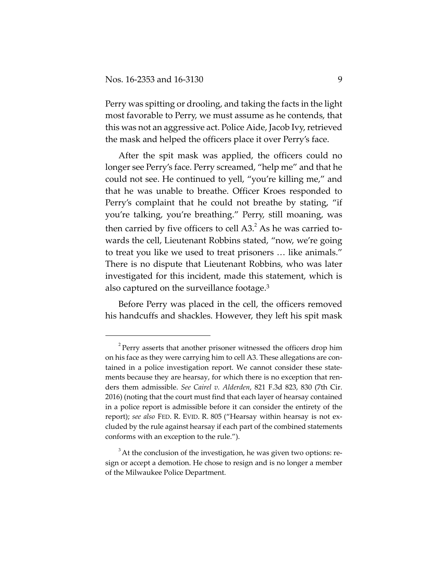Perry was spitting or drooling, and taking the facts in the light most favorable to Perry, we must assume as he contends, that this was not an aggressive act. Police Aide, Jacob Ivy, retrieved the mask and helped the officers place it over Perry's face.

After the spit mask was applied, the officers could no longer see Perry's face. Perry screamed, "help me" and that he could not see. He continued to yell, "you're killing me," and that he was unable to breathe. Officer Kroes responded to Perry's complaint that he could not breathe by stating, "if you're talking, you're breathing." Perry, still moaning, was then carried by five officers to cell  $A3<sup>2</sup>$ . As he was carried towards the cell, Lieutenant Robbins stated, "now, we're going to treat you like we used to treat prisoners … like animals." There is no dispute that Lieutenant Robbins, who was later investigated for this incident, made this statement, which is also captured on the surveillance footage.3

Before Perry was placed in the cell, the officers removed his handcuffs and shackles. However, they left his spit mask

 $2^2$ Perry asserts that another prisoner witnessed the officers drop him on his face as they were carrying him to cell A3. These allegations are contained in a police investigation report. We cannot consider these state‐ ments because they are hearsay, for which there is no exception that renders them admissible. *See Cairel v. Alderden*, 821 F.3d 823, 830 (7th Cir. 2016) (noting that the court must find that each layer of hearsay contained in a police report is admissible before it can consider the entirety of the report); *see also* FED. R. EVID. R. 805 ("Hearsay within hearsay is not ex‐ cluded by the rule against hearsay if each part of the combined statements conforms with an exception to the rule.").

 $3$  At the conclusion of the investigation, he was given two options: resign or accept a demotion. He chose to resign and is no longer a member of the Milwaukee Police Department.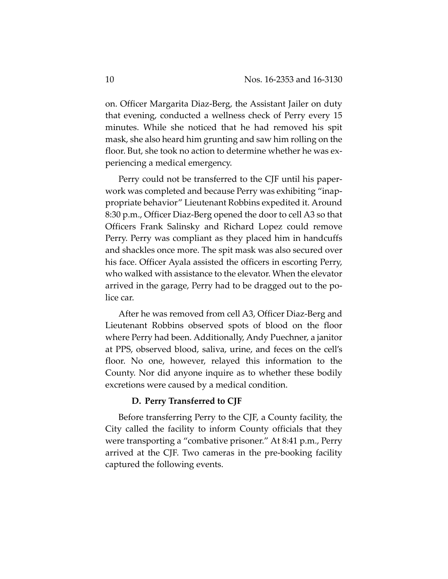on. Officer Margarita Diaz‐Berg, the Assistant Jailer on duty that evening, conducted a wellness check of Perry every 15 minutes. While she noticed that he had removed his spit mask, she also heard him grunting and saw him rolling on the floor. But, she took no action to determine whether he was experiencing a medical emergency.

Perry could not be transferred to the CJF until his paper‐ work was completed and because Perry was exhibiting "inap‐ propriate behavior" Lieutenant Robbins expedited it. Around 8:30 p.m., Officer Diaz‐Berg opened the door to cell A3 so that Officers Frank Salinsky and Richard Lopez could remove Perry. Perry was compliant as they placed him in handcuffs and shackles once more. The spit mask was also secured over his face. Officer Ayala assisted the officers in escorting Perry, who walked with assistance to the elevator. When the elevator arrived in the garage, Perry had to be dragged out to the po‐ lice car.

After he was removed from cell A3, Officer Diaz‐Berg and Lieutenant Robbins observed spots of blood on the floor where Perry had been. Additionally, Andy Puechner, a janitor at PPS, observed blood, saliva, urine, and feces on the cell's floor. No one, however, relayed this information to the County. Nor did anyone inquire as to whether these bodily excretions were caused by a medical condition.

## **D. Perry Transferred to CJF**

Before transferring Perry to the CJF, a County facility, the City called the facility to inform County officials that they were transporting a "combative prisoner." At 8:41 p.m., Perry arrived at the CJF. Two cameras in the pre‐booking facility captured the following events.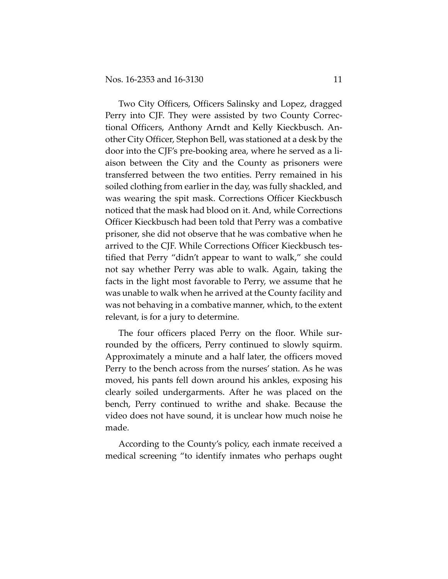Two City Officers, Officers Salinsky and Lopez, dragged Perry into CJF. They were assisted by two County Correc‐ tional Officers, Anthony Arndt and Kelly Kieckbusch. An‐ other City Officer, Stephon Bell, was stationed at a desk by the door into the CJF's pre‐booking area, where he served as a li‐ aison between the City and the County as prisoners were transferred between the two entities. Perry remained in his soiled clothing from earlier in the day, was fully shackled, and was wearing the spit mask. Corrections Officer Kieckbusch noticed that the mask had blood on it. And, while Corrections Officer Kieckbusch had been told that Perry was a combative prisoner, she did not observe that he was combative when he arrived to the CJF. While Corrections Officer Kieckbusch tes‐ tified that Perry "didn't appear to want to walk," she could not say whether Perry was able to walk. Again, taking the facts in the light most favorable to Perry, we assume that he was unable to walk when he arrived at the County facility and was not behaving in a combative manner, which, to the extent relevant, is for a jury to determine.

The four officers placed Perry on the floor. While sur‐ rounded by the officers, Perry continued to slowly squirm. Approximately a minute and a half later, the officers moved Perry to the bench across from the nurses' station. As he was moved, his pants fell down around his ankles, exposing his clearly soiled undergarments. After he was placed on the bench, Perry continued to writhe and shake. Because the video does not have sound, it is unclear how much noise he made.

According to the County's policy, each inmate received a medical screening "to identify inmates who perhaps ought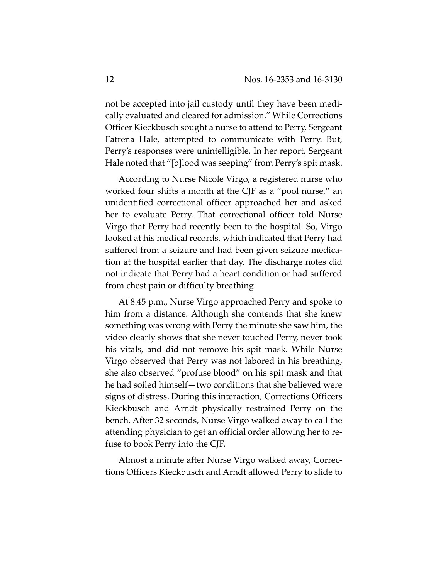not be accepted into jail custody until they have been medi‐ cally evaluated and cleared for admission." While Corrections Officer Kieckbusch sought a nurse to attend to Perry, Sergeant Fatrena Hale, attempted to communicate with Perry. But, Perry's responses were unintelligible. In her report, Sergeant Hale noted that "[b]lood was seeping" from Perry's spit mask.

According to Nurse Nicole Virgo, a registered nurse who worked four shifts a month at the CJF as a "pool nurse," an unidentified correctional officer approached her and asked her to evaluate Perry. That correctional officer told Nurse Virgo that Perry had recently been to the hospital. So, Virgo looked at his medical records, which indicated that Perry had suffered from a seizure and had been given seizure medica‐ tion at the hospital earlier that day. The discharge notes did not indicate that Perry had a heart condition or had suffered from chest pain or difficulty breathing.

At 8:45 p.m., Nurse Virgo approached Perry and spoke to him from a distance. Although she contends that she knew something was wrong with Perry the minute she saw him, the video clearly shows that she never touched Perry, never took his vitals, and did not remove his spit mask. While Nurse Virgo observed that Perry was not labored in his breathing, she also observed "profuse blood" on his spit mask and that he had soiled himself—two conditions that she believed were signs of distress. During this interaction, Corrections Officers Kieckbusch and Arndt physically restrained Perry on the bench. After 32 seconds, Nurse Virgo walked away to call the attending physician to get an official order allowing her to re‐ fuse to book Perry into the CJF.

Almost a minute after Nurse Virgo walked away, Correc‐ tions Officers Kieckbusch and Arndt allowed Perry to slide to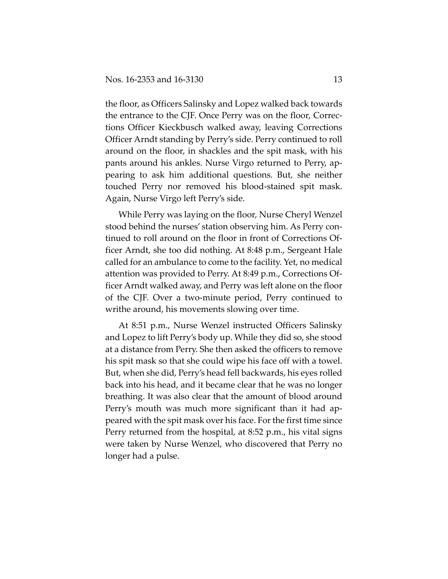the floor, as Officers Salinsky and Lopez walked back towards the entrance to the CJF. Once Perry was on the floor, Correc‐ tions Officer Kieckbusch walked away, leaving Corrections Officer Arndt standing by Perry's side. Perry continued to roll around on the floor, in shackles and the spit mask, with his pants around his ankles. Nurse Virgo returned to Perry, ap‐ pearing to ask him additional questions. But, she neither touched Perry nor removed his blood‐stained spit mask. Again, Nurse Virgo left Perry's side.

While Perry was laying on the floor, Nurse Cheryl Wenzel stood behind the nurses' station observing him. As Perry con‐ tinued to roll around on the floor in front of Corrections Of‐ ficer Arndt, she too did nothing. At 8:48 p.m., Sergeant Hale called for an ambulance to come to the facility. Yet, no medical attention was provided to Perry. At 8:49 p.m., Corrections Of‐ ficer Arndt walked away, and Perry was left alone on the floor of the CJF. Over a two‐minute period, Perry continued to writhe around, his movements slowing over time.

At 8:51 p.m., Nurse Wenzel instructed Officers Salinsky and Lopez to lift Perry's body up. While they did so, she stood at a distance from Perry. She then asked the officers to remove his spit mask so that she could wipe his face off with a towel. But, when she did, Perry's head fell backwards, his eyes rolled back into his head, and it became clear that he was no longer breathing. It was also clear that the amount of blood around Perry's mouth was much more significant than it had ap‐ peared with the spit mask over his face. For the first time since Perry returned from the hospital, at 8:52 p.m., his vital signs were taken by Nurse Wenzel, who discovered that Perry no longer had a pulse.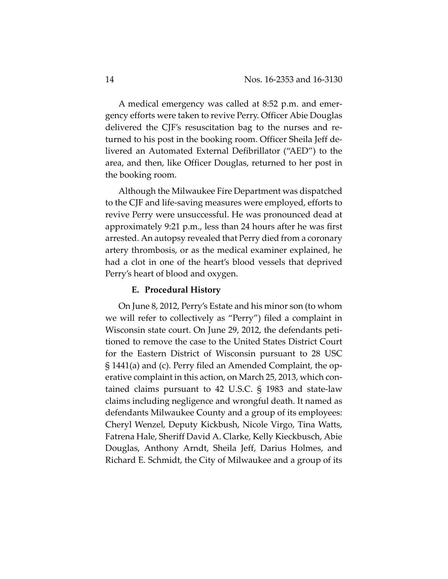A medical emergency was called at 8:52 p.m. and emer‐ gency efforts were taken to revive Perry. Officer Abie Douglas delivered the CJF's resuscitation bag to the nurses and re‐ turned to his post in the booking room. Officer Sheila Jeff de‐ livered an Automated External Defibrillator ("AED") to the area, and then, like Officer Douglas, returned to her post in the booking room.

Although the Milwaukee Fire Department was dispatched to the CJF and life‐saving measures were employed, efforts to revive Perry were unsuccessful. He was pronounced dead at approximately 9:21 p.m., less than 24 hours after he was first arrested. An autopsy revealed that Perry died from a coronary artery thrombosis, or as the medical examiner explained, he had a clot in one of the heart's blood vessels that deprived Perry's heart of blood and oxygen.

## **E. Procedural History**

On June 8, 2012, Perry's Estate and his minor son (to whom we will refer to collectively as "Perry") filed a complaint in Wisconsin state court. On June 29, 2012, the defendants peti‐ tioned to remove the case to the United States District Court for the Eastern District of Wisconsin pursuant to 28 USC § 1441(a) and (c). Perry filed an Amended Complaint, the op‐ erative complaint in this action, on March 25, 2013, which contained claims pursuant to 42 U.S.C. § 1983 and state‐law claims including negligence and wrongful death. It named as defendants Milwaukee County and a group of its employees: Cheryl Wenzel, Deputy Kickbush, Nicole Virgo, Tina Watts, Fatrena Hale, Sheriff David A. Clarke, Kelly Kieckbusch, Abie Douglas, Anthony Arndt, Sheila Jeff, Darius Holmes, and Richard E. Schmidt, the City of Milwaukee and a group of its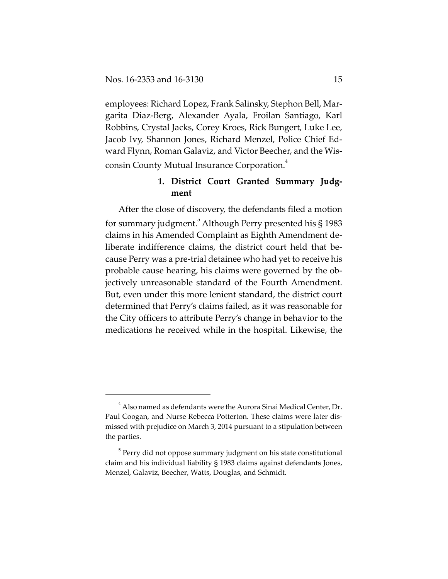employees: Richard Lopez, Frank Salinsky, Stephon Bell, Mar‐ garita Diaz‐Berg, Alexander Ayala, Froilan Santiago, Karl Robbins, Crystal Jacks, Corey Kroes, Rick Bungert, Luke Lee, Jacob Ivy, Shannon Jones, Richard Menzel, Police Chief Ed‐ ward Flynn, Roman Galaviz, and Victor Beecher, and the Wis‐ consin County Mutual Insurance Corporation. $^4$ 

# **1. District Court Granted Summary Judg‐ ment**

After the close of discovery, the defendants filed a motion for summary judgment. $^5$  Although Perry presented his § 1983 claims in his Amended Complaint as Eighth Amendment de‐ liberate indifference claims, the district court held that be‐ cause Perry was a pre‐trial detainee who had yet to receive his probable cause hearing, his claims were governed by the ob‐ jectively unreasonable standard of the Fourth Amendment. But, even under this more lenient standard, the district court determined that Perry's claims failed, as it was reasonable for the City officers to attribute Perry's change in behavior to the medications he received while in the hospital. Likewise, the

 $^4$  Also named as defendants were the Aurora Sinai Medical Center, Dr. Paul Coogan, and Nurse Rebecca Potterton. These claims were later dis‐ missed with prejudice on March 3, 2014 pursuant to a stipulation between the parties.

 $5$  Perry did not oppose summary judgment on his state constitutional claim and his individual liability § 1983 claims against defendants Jones, Menzel, Galaviz, Beecher, Watts, Douglas, and Schmidt.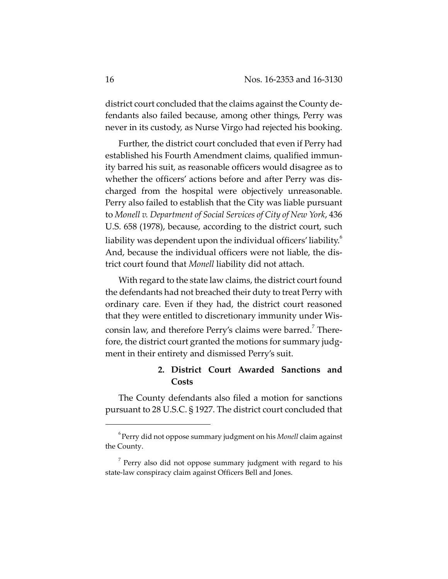district court concluded that the claims against the County de‐ fendants also failed because, among other things, Perry was never in its custody, as Nurse Virgo had rejected his booking.

Further, the district court concluded that even if Perry had established his Fourth Amendment claims, qualified immun‐ ity barred his suit, as reasonable officers would disagree as to whether the officers' actions before and after Perry was discharged from the hospital were objectively unreasonable. Perry also failed to establish that the City was liable pursuant to *Monell v. Department of Social Services of City of New York*, 436 U.S. 658 (1978), because, according to the district court, such liability was dependent upon the individual officers' liability.<sup>6</sup> And, because the individual officers were not liable, the dis‐ trict court found that *Monell* liability did not attach.

With regard to the state law claims, the district court found the defendants had not breached their duty to treat Perry with ordinary care. Even if they had, the district court reasoned that they were entitled to discretionary immunity under Wis‐ consin law, and therefore Perry's claims were barred.<sup>7</sup> Therefore, the district court granted the motions for summary judgment in their entirety and dismissed Perry's suit.

# **2. District Court Awarded Sanctions and Costs**

The County defendants also filed a motion for sanctions pursuant to 28 U.S.C. § 1927. The district court concluded that

<sup>6</sup> Perry did not oppose summary judgment on his *Monell* claim against the County.

 $7$  Perry also did not oppose summary judgment with regard to his state-law conspiracy claim against Officers Bell and Jones.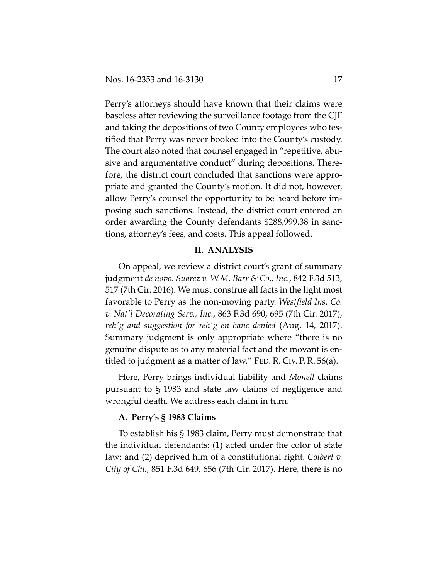Perry's attorneys should have known that their claims were baseless after reviewing the surveillance footage from the CJF and taking the depositions of two County employees who tes‐ tified that Perry was never booked into the County's custody. The court also noted that counsel engaged in "repetitive, abu‐ sive and argumentative conduct" during depositions. There‐ fore, the district court concluded that sanctions were appropriate and granted the County's motion. It did not, however, allow Perry's counsel the opportunity to be heard before im‐ posing such sanctions. Instead, the district court entered an order awarding the County defendants \$288,999.38 in sanc‐ tions, attorney's fees, and costs. This appeal followed.

## **II. ANALYSIS**

On appeal, we review a district court's grant of summary judgment *de novo*. *Suarez v. W.M. Barr & Co., Inc.*, 842 F.3d 513, 517 (7th Cir. 2016). We must construe all facts in the light most favorable to Perry as the non‐moving party. *Westfield Ins. Co. v. Natʹl Decorating Serv., Inc.*, 863 F.3d 690, 695 (7th Cir. 2017), *rehʹg and suggestion for rehʹg en banc denied* (Aug. 14, 2017). Summary judgment is only appropriate where "there is no genuine dispute as to any material fact and the movant is en‐ titled to judgment as a matter of law." FED. R. CIV. P. R. 56(a).

Here, Perry brings individual liability and *Monell* claims pursuant to § 1983 and state law claims of negligence and wrongful death. We address each claim in turn.

## **A. Perry's § 1983 Claims**

To establish his § 1983 claim, Perry must demonstrate that the individual defendants: (1) acted under the color of state law; and (2) deprived him of a constitutional right. *Colbert v. City of Chi.*, 851 F.3d 649, 656 (7th Cir. 2017). Here, there is no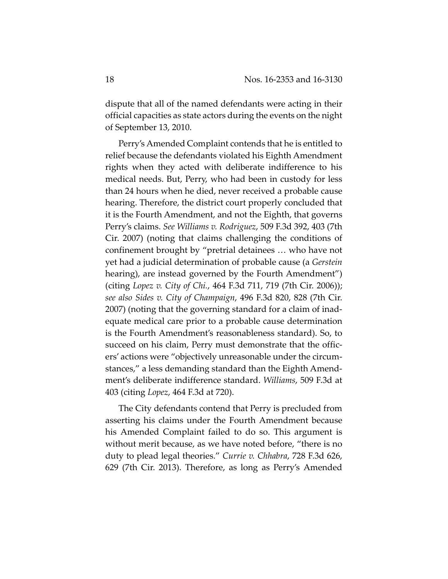dispute that all of the named defendants were acting in their official capacities as state actors during the events on the night of September 13, 2010.

Perry's Amended Complaint contends that he is entitled to relief because the defendants violated his Eighth Amendment rights when they acted with deliberate indifference to his medical needs. But, Perry, who had been in custody for less than 24 hours when he died, never received a probable cause hearing. Therefore, the district court properly concluded that it is the Fourth Amendment, and not the Eighth, that governs Perry's claims. *See Williams v. Rodriguez*, 509 F.3d 392, 403 (7th Cir. 2007) (noting that claims challenging the conditions of confinement brought by "pretrial detainees … who have not yet had a judicial determination of probable cause (a *Gerstein* hearing), are instead governed by the Fourth Amendment") (citing *Lopez v. City of Chi.*, 464 F.3d 711, 719 (7th Cir. 2006)); *see also Sides v. City of Champaign*, 496 F.3d 820, 828 (7th Cir. 2007) (noting that the governing standard for a claim of inad‐ equate medical care prior to a probable cause determination is the Fourth Amendment's reasonableness standard). So, to succeed on his claim, Perry must demonstrate that the officers' actions were "objectively unreasonable under the circum‐ stances," a less demanding standard than the Eighth Amend‐ ment's deliberate indifference standard. *Williams*, 509 F.3d at 403 (citing *Lopez*, 464 F.3d at 720).

The City defendants contend that Perry is precluded from asserting his claims under the Fourth Amendment because his Amended Complaint failed to do so. This argument is without merit because, as we have noted before, "there is no duty to plead legal theories." *Currie v. Chhabra*, 728 F.3d 626, 629 (7th Cir. 2013). Therefore, as long as Perry's Amended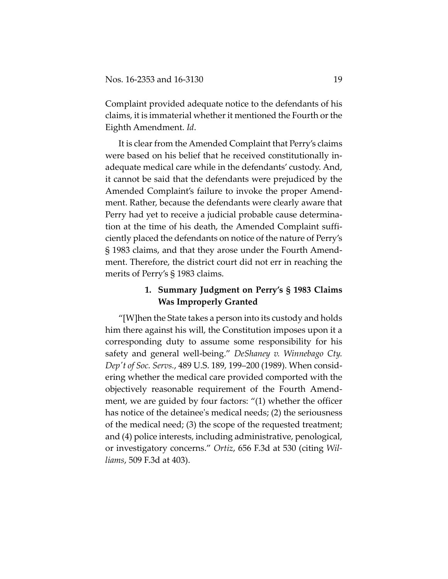Complaint provided adequate notice to the defendants of his claims, it is immaterial whether it mentioned the Fourth or the Eighth Amendment. *Id*.

It is clear from the Amended Complaint that Perry's claims were based on his belief that he received constitutionally in‐ adequate medical care while in the defendants' custody. And, it cannot be said that the defendants were prejudiced by the Amended Complaint's failure to invoke the proper Amend‐ ment. Rather, because the defendants were clearly aware that Perry had yet to receive a judicial probable cause determina‐ tion at the time of his death, the Amended Complaint suffi‐ ciently placed the defendants on notice of the nature of Perry's § 1983 claims, and that they arose under the Fourth Amend‐ ment. Therefore, the district court did not err in reaching the merits of Perry's § 1983 claims.

# **1. Summary Judgment on Perry's § 1983 Claims Was Improperly Granted**

"[W]hen the State takes a person into its custody and holds him there against his will, the Constitution imposes upon it a corresponding duty to assume some responsibility for his safety and general well‐being." *DeShaney v. Winnebago Cty. Depʹt of Soc. Servs.*, 489 U.S. 189, 199–200 (1989). When consid‐ ering whether the medical care provided comported with the objectively reasonable requirement of the Fourth Amend‐ ment, we are guided by four factors: "(1) whether the officer has notice of the detainee's medical needs; (2) the seriousness of the medical need; (3) the scope of the requested treatment; and (4) police interests, including administrative, penological, or investigatory concerns." *Ortiz*, 656 F.3d at 530 (citing *Wil‐ liams*, 509 F.3d at 403).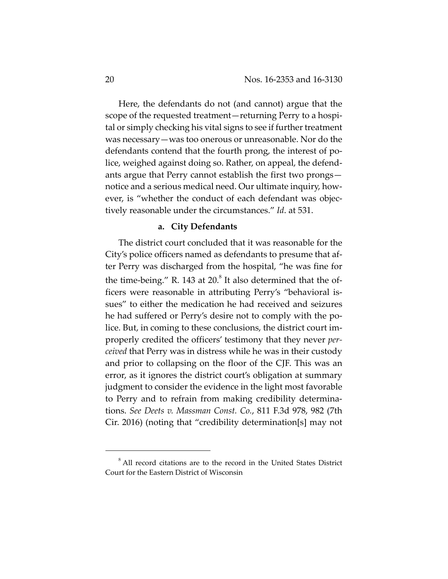Here, the defendants do not (and cannot) argue that the scope of the requested treatment—returning Perry to a hospital or simply checking his vital signs to see if further treatment was necessary—was too onerous or unreasonable. Nor do the defendants contend that the fourth prong, the interest of po‐ lice, weighed against doing so. Rather, on appeal, the defend‐ ants argue that Perry cannot establish the first two prongs notice and a serious medical need. Our ultimate inquiry, how‐ ever, is "whether the conduct of each defendant was objec‐ tively reasonable under the circumstances." *Id*. at 531.

#### **a. City Defendants**

The district court concluded that it was reasonable for the City's police officers named as defendants to presume that af‐ ter Perry was discharged from the hospital, "he was fine for the time-being." R. 143 at  $20.8$ <sup>8</sup> It also determined that the officers were reasonable in attributing Perry's "behavioral is‐ sues" to either the medication he had received and seizures he had suffered or Perry's desire not to comply with the police. But, in coming to these conclusions, the district court im‐ properly credited the officers' testimony that they never *per‐ ceived* that Perry was in distress while he was in their custody and prior to collapsing on the floor of the CJF. This was an error, as it ignores the district court's obligation at summary judgment to consider the evidence in the light most favorable to Perry and to refrain from making credibility determina‐ tions. *See Deets v. Massman Const. Co.*, 811 F.3d 978, 982 (7th Cir. 2016) (noting that "credibility determination[s] may not

<sup>&</sup>lt;sup>8</sup> All record citations are to the record in the United States District Court for the Eastern District of Wisconsin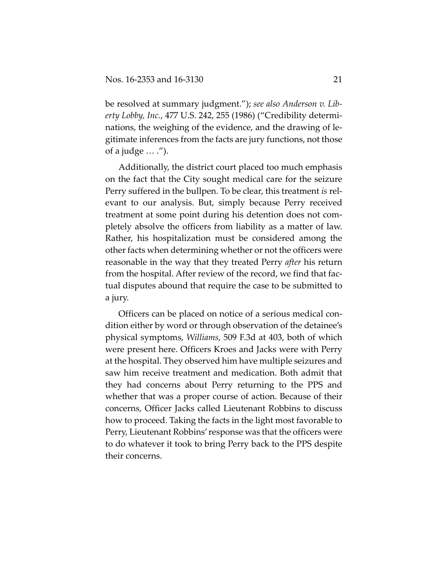be resolved at summary judgment."); *see also Anderson v. Lib‐ erty Lobby, Inc.*, 477 U.S. 242, 255 (1986) ("Credibility determi‐ nations, the weighing of the evidence, and the drawing of le‐ gitimate inferences from the facts are jury functions, not those of a judge  $\dots$  .").

Additionally, the district court placed too much emphasis on the fact that the City sought medical care for the seizure Perry suffered in the bullpen. To be clear, this treatment *is* rel‐ evant to our analysis. But, simply because Perry received treatment at some point during his detention does not com‐ pletely absolve the officers from liability as a matter of law. Rather, his hospitalization must be considered among the other facts when determining whether or not the officers were reasonable in the way that they treated Perry *after* his return from the hospital. After review of the record, we find that fac‐ tual disputes abound that require the case to be submitted to a jury.

Officers can be placed on notice of a serious medical con‐ dition either by word or through observation of the detainee's physical symptoms, *Williams*, 509 F.3d at 403, both of which were present here. Officers Kroes and Jacks were with Perry at the hospital. They observed him have multiple seizures and saw him receive treatment and medication. Both admit that they had concerns about Perry returning to the PPS and whether that was a proper course of action. Because of their concerns, Officer Jacks called Lieutenant Robbins to discuss how to proceed. Taking the facts in the light most favorable to Perry, Lieutenant Robbins'response was that the officers were to do whatever it took to bring Perry back to the PPS despite their concerns.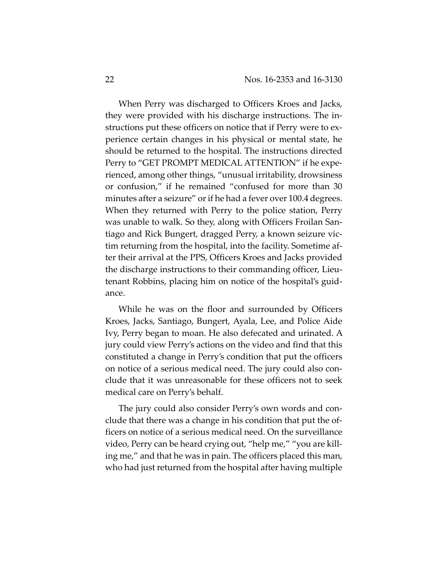When Perry was discharged to Officers Kroes and Jacks, they were provided with his discharge instructions. The in‐ structions put these officers on notice that if Perry were to ex‐ perience certain changes in his physical or mental state, he should be returned to the hospital. The instructions directed Perry to "GET PROMPT MEDICAL ATTENTION" if he experienced, among other things, "unusual irritability, drowsiness or confusion," if he remained "confused for more than 30 minutes after a seizure" or if he had a fever over 100.4 degrees. When they returned with Perry to the police station, Perry was unable to walk. So they, along with Officers Froilan San‐ tiago and Rick Bungert, dragged Perry, a known seizure vic‐ tim returning from the hospital, into the facility. Sometime af‐ ter their arrival at the PPS, Officers Kroes and Jacks provided the discharge instructions to their commanding officer, Lieu‐ tenant Robbins, placing him on notice of the hospital's guid‐ ance.

While he was on the floor and surrounded by Officers Kroes, Jacks, Santiago, Bungert, Ayala, Lee, and Police Aide Ivy, Perry began to moan. He also defecated and urinated. A jury could view Perry's actions on the video and find that this constituted a change in Perry's condition that put the officers on notice of a serious medical need. The jury could also con‐ clude that it was unreasonable for these officers not to seek medical care on Perry's behalf.

The jury could also consider Perry's own words and con‐ clude that there was a change in his condition that put the of‐ ficers on notice of a serious medical need. On the surveillance video, Perry can be heard crying out, "help me," "you are kill‐ ing me," and that he was in pain. The officers placed this man, who had just returned from the hospital after having multiple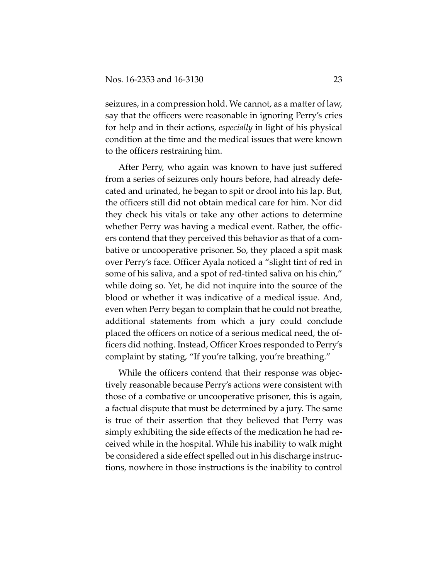seizures, in a compression hold. We cannot, as a matter of law, say that the officers were reasonable in ignoring Perry's cries for help and in their actions, *especially* in light of his physical condition at the time and the medical issues that were known to the officers restraining him.

After Perry, who again was known to have just suffered from a series of seizures only hours before, had already defe‐ cated and urinated, he began to spit or drool into his lap. But, the officers still did not obtain medical care for him. Nor did they check his vitals or take any other actions to determine whether Perry was having a medical event. Rather, the officers contend that they perceived this behavior as that of a com‐ bative or uncooperative prisoner. So, they placed a spit mask over Perry's face. Officer Ayala noticed a "slight tint of red in some of his saliva, and a spot of red-tinted saliva on his chin," while doing so. Yet, he did not inquire into the source of the blood or whether it was indicative of a medical issue. And, even when Perry began to complain that he could not breathe, additional statements from which a jury could conclude placed the officers on notice of a serious medical need, the of‐ ficers did nothing. Instead, Officer Kroes responded to Perry's complaint by stating, "If you're talking, you're breathing."

While the officers contend that their response was objectively reasonable because Perry's actions were consistent with those of a combative or uncooperative prisoner, this is again, a factual dispute that must be determined by a jury. The same is true of their assertion that they believed that Perry was simply exhibiting the side effects of the medication he had re‐ ceived while in the hospital. While his inability to walk might be considered a side effect spelled out in his discharge instruc‐ tions, nowhere in those instructions is the inability to control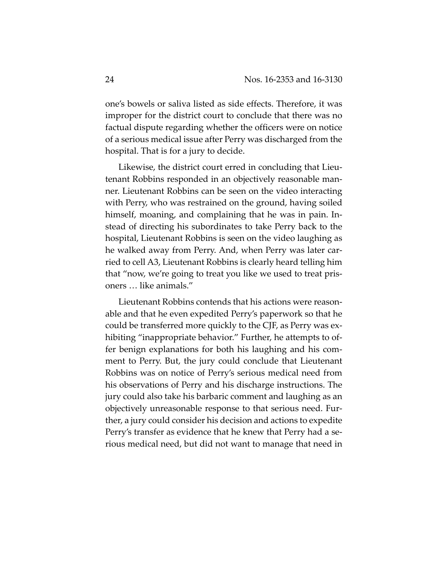one's bowels or saliva listed as side effects. Therefore, it was improper for the district court to conclude that there was no factual dispute regarding whether the officers were on notice of a serious medical issue after Perry was discharged from the hospital. That is for a jury to decide.

Likewise, the district court erred in concluding that Lieu‐ tenant Robbins responded in an objectively reasonable man‐ ner. Lieutenant Robbins can be seen on the video interacting with Perry, who was restrained on the ground, having soiled himself, moaning, and complaining that he was in pain. Instead of directing his subordinates to take Perry back to the hospital, Lieutenant Robbins is seen on the video laughing as he walked away from Perry. And, when Perry was later carried to cell A3, Lieutenant Robbins is clearly heard telling him that "now, we're going to treat you like we used to treat pris‐ oners … like animals."

Lieutenant Robbins contends that his actions were reason‐ able and that he even expedited Perry's paperwork so that he could be transferred more quickly to the CJF, as Perry was ex‐ hibiting "inappropriate behavior." Further, he attempts to offer benign explanations for both his laughing and his comment to Perry. But, the jury could conclude that Lieutenant Robbins was on notice of Perry's serious medical need from his observations of Perry and his discharge instructions. The jury could also take his barbaric comment and laughing as an objectively unreasonable response to that serious need. Fur‐ ther, a jury could consider his decision and actions to expedite Perry's transfer as evidence that he knew that Perry had a se‐ rious medical need, but did not want to manage that need in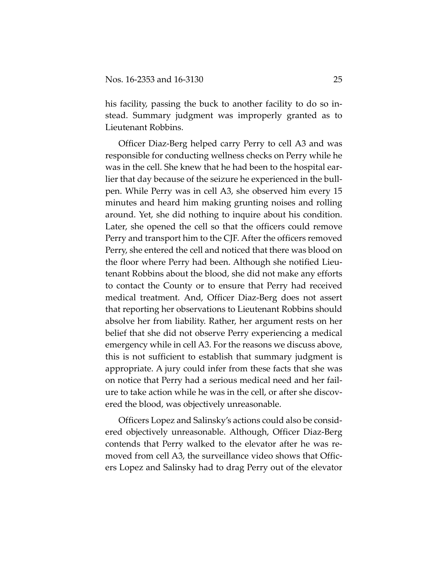his facility, passing the buck to another facility to do so instead. Summary judgment was improperly granted as to Lieutenant Robbins.

Officer Diaz‐Berg helped carry Perry to cell A3 and was responsible for conducting wellness checks on Perry while he was in the cell. She knew that he had been to the hospital earlier that day because of the seizure he experienced in the bull‐ pen. While Perry was in cell A3, she observed him every 15 minutes and heard him making grunting noises and rolling around. Yet, she did nothing to inquire about his condition. Later, she opened the cell so that the officers could remove Perry and transport him to the CJF. After the officers removed Perry, she entered the cell and noticed that there was blood on the floor where Perry had been. Although she notified Lieu‐ tenant Robbins about the blood, she did not make any efforts to contact the County or to ensure that Perry had received medical treatment. And, Officer Diaz‐Berg does not assert that reporting her observations to Lieutenant Robbins should absolve her from liability. Rather, her argument rests on her belief that she did not observe Perry experiencing a medical emergency while in cell A3. For the reasons we discuss above, this is not sufficient to establish that summary judgment is appropriate. A jury could infer from these facts that she was on notice that Perry had a serious medical need and her fail‐ ure to take action while he was in the cell, or after she discov‐ ered the blood, was objectively unreasonable.

Officers Lopez and Salinsky's actions could also be consid‐ ered objectively unreasonable. Although, Officer Diaz‐Berg contends that Perry walked to the elevator after he was re‐ moved from cell A3, the surveillance video shows that Officers Lopez and Salinsky had to drag Perry out of the elevator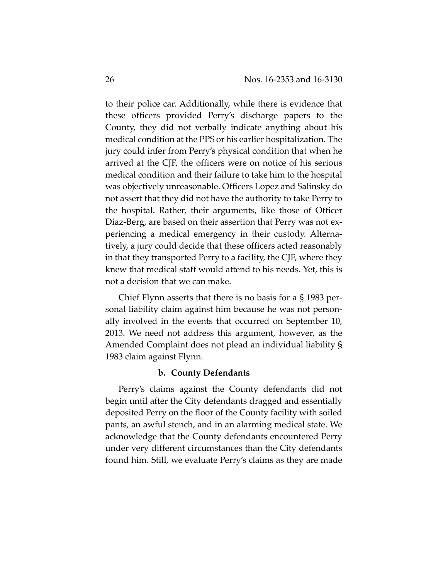to their police car. Additionally, while there is evidence that these officers provided Perry's discharge papers to the County, they did not verbally indicate anything about his medical condition at the PPS or his earlier hospitalization. The jury could infer from Perry's physical condition that when he arrived at the CJF, the officers were on notice of his serious medical condition and their failure to take him to the hospital was objectively unreasonable. Officers Lopez and Salinsky do not assert that they did not have the authority to take Perry to the hospital. Rather, their arguments, like those of Officer Diaz-Berg, are based on their assertion that Perry was not experiencing a medical emergency in their custody. Alterna‐ tively, a jury could decide that these officers acted reasonably in that they transported Perry to a facility, the CJF, where they knew that medical staff would attend to his needs. Yet, this is not a decision that we can make.

Chief Flynn asserts that there is no basis for a § 1983 per‐ sonal liability claim against him because he was not personally involved in the events that occurred on September 10, 2013. We need not address this argument, however, as the Amended Complaint does not plead an individual liability § 1983 claim against Flynn.

#### **b. County Defendants**

Perry's claims against the County defendants did not begin until after the City defendants dragged and essentially deposited Perry on the floor of the County facility with soiled pants, an awful stench, and in an alarming medical state. We acknowledge that the County defendants encountered Perry under very different circumstances than the City defendants found him. Still, we evaluate Perry's claims as they are made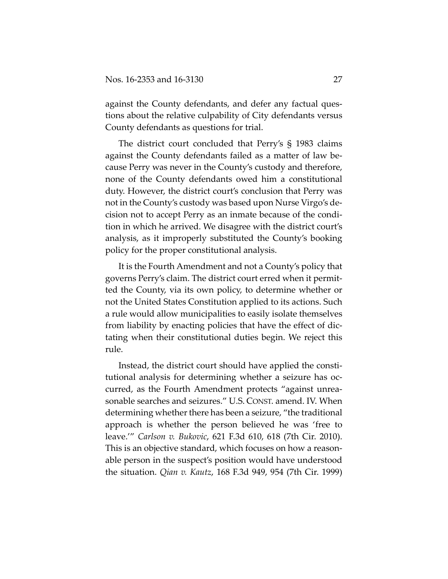against the County defendants, and defer any factual questions about the relative culpability of City defendants versus County defendants as questions for trial.

The district court concluded that Perry's § 1983 claims against the County defendants failed as a matter of law be‐ cause Perry was never in the County's custody and therefore, none of the County defendants owed him a constitutional duty. However, the district court's conclusion that Perry was not in the County's custody was based upon Nurse Virgo's de‐ cision not to accept Perry as an inmate because of the condi‐ tion in which he arrived. We disagree with the district court's analysis, as it improperly substituted the County's booking policy for the proper constitutional analysis.

It is the Fourth Amendment and not a County's policy that governs Perry's claim. The district court erred when it permit‐ ted the County, via its own policy, to determine whether or not the United States Constitution applied to its actions. Such a rule would allow municipalities to easily isolate themselves from liability by enacting policies that have the effect of dic‐ tating when their constitutional duties begin. We reject this rule.

Instead, the district court should have applied the consti‐ tutional analysis for determining whether a seizure has oc‐ curred, as the Fourth Amendment protects "against unrea‐ sonable searches and seizures." U.S. CONST. amend. IV. When determining whether there has been a seizure, "the traditional approach is whether the person believed he was 'free to leave.'" *Carlson v. Bukovic*, 621 F.3d 610, 618 (7th Cir. 2010). This is an objective standard, which focuses on how a reason‐ able person in the suspect's position would have understood the situation. *Qian v. Kautz*, 168 F.3d 949, 954 (7th Cir. 1999)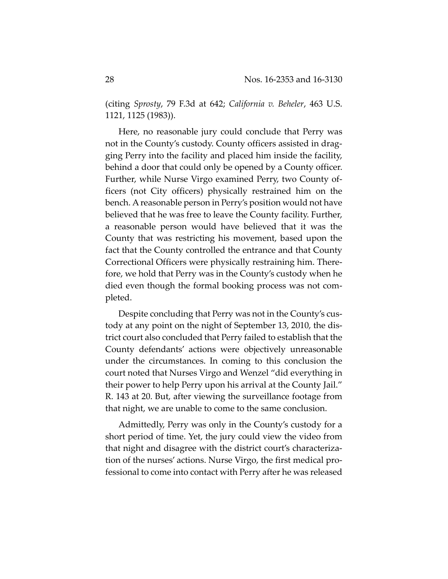(citing *Sprosty*, 79 F.3d at 642; *California v. Beheler*, 463 U.S. 1121, 1125 (1983)).

Here, no reasonable jury could conclude that Perry was not in the County's custody. County officers assisted in drag‐ ging Perry into the facility and placed him inside the facility, behind a door that could only be opened by a County officer. Further, while Nurse Virgo examined Perry, two County of‐ ficers (not City officers) physically restrained him on the bench. Areasonable person in Perry's position would not have believed that he was free to leave the County facility. Further, a reasonable person would have believed that it was the County that was restricting his movement, based upon the fact that the County controlled the entrance and that County Correctional Officers were physically restraining him. There‐ fore, we hold that Perry was in the County's custody when he died even though the formal booking process was not com‐ pleted.

Despite concluding that Perry was not in the County's custody at any point on the night of September 13, 2010, the dis‐ trict court also concluded that Perry failed to establish that the County defendants' actions were objectively unreasonable under the circumstances. In coming to this conclusion the court noted that Nurses Virgo and Wenzel "did everything in their power to help Perry upon his arrival at the County Jail." R. 143 at 20. But, after viewing the surveillance footage from that night, we are unable to come to the same conclusion.

Admittedly, Perry was only in the County's custody for a short period of time. Yet, the jury could view the video from that night and disagree with the district court's characteriza‐ tion of the nurses' actions. Nurse Virgo, the first medical pro‐ fessional to come into contact with Perry after he was released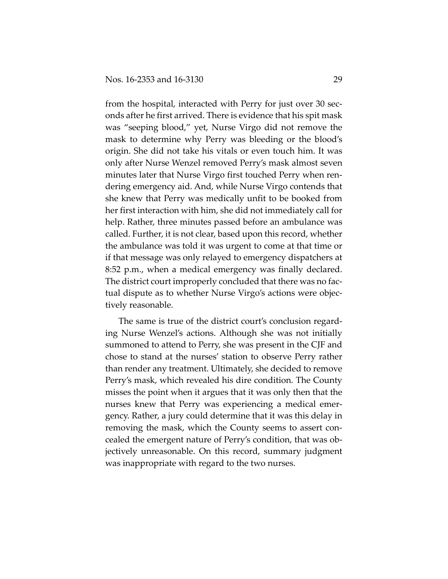from the hospital, interacted with Perry for just over 30 sec‐ onds after he first arrived. There is evidence that his spit mask was "seeping blood," yet, Nurse Virgo did not remove the mask to determine why Perry was bleeding or the blood's origin. She did not take his vitals or even touch him. It was only after Nurse Wenzel removed Perry's mask almost seven minutes later that Nurse Virgo first touched Perry when ren‐ dering emergency aid. And, while Nurse Virgo contends that she knew that Perry was medically unfit to be booked from her first interaction with him, she did not immediately call for help. Rather, three minutes passed before an ambulance was called. Further, it is not clear, based upon this record, whether the ambulance was told it was urgent to come at that time or if that message was only relayed to emergency dispatchers at 8:52 p.m., when a medical emergency was finally declared. The district court improperly concluded that there was no factual dispute as to whether Nurse Virgo's actions were objec‐ tively reasonable.

The same is true of the district court's conclusion regard‐ ing Nurse Wenzel's actions. Although she was not initially summoned to attend to Perry, she was present in the CJF and chose to stand at the nurses' station to observe Perry rather than render any treatment. Ultimately, she decided to remove Perry's mask, which revealed his dire condition. The County misses the point when it argues that it was only then that the nurses knew that Perry was experiencing a medical emer‐ gency. Rather, a jury could determine that it was this delay in removing the mask, which the County seems to assert con‐ cealed the emergent nature of Perry's condition, that was ob‐ jectively unreasonable. On this record, summary judgment was inappropriate with regard to the two nurses.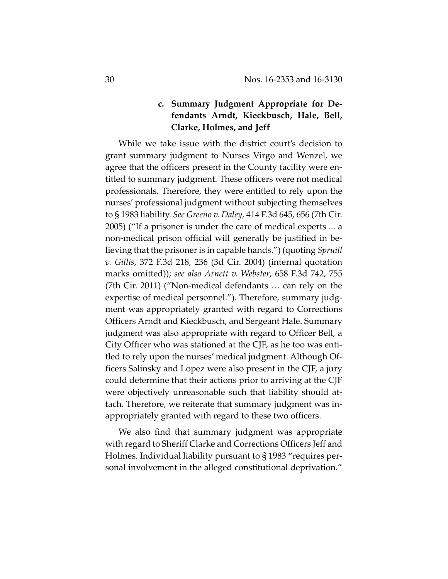# **c. Summary Judgment Appropriate for De‐ fendants Arndt, Kieckbusch, Hale, Bell, Clarke, Holmes, and Jeff**

While we take issue with the district court's decision to grant summary judgment to Nurses Virgo and Wenzel, we agree that the officers present in the County facility were en‐ titled to summary judgment. These officers were not medical professionals. Therefore, they were entitled to rely upon the nurses' professional judgment without subjecting themselves to § 1983 liability. *See Greeno v. Daley*, 414 F.3d 645, 656 (7th Cir. 2005) ("If a prisoner is under the care of medical experts ... a non-medical prison official will generally be justified in believing that the prisoner is in capable hands.") (quoting *Spruill v. Gillis*, 372 F.3d 218, 236 (3d Cir. 2004) (internal quotation marks omitted)); *see also Arnett v. Webster*, 658 F.3d 742, 755 (7th Cir. 2011) ("Non‐medical defendants … can rely on the expertise of medical personnel."). Therefore, summary judgment was appropriately granted with regard to Corrections Officers Arndt and Kieckbusch, and Sergeant Hale. Summary judgment was also appropriate with regard to Officer Bell, a City Officer who was stationed at the CJF, as he too was enti‐ tled to rely upon the nurses' medical judgment. Although Of‐ ficers Salinsky and Lopez were also present in the CJF, a jury could determine that their actions prior to arriving at the CJF were objectively unreasonable such that liability should attach. Therefore, we reiterate that summary judgment was in‐ appropriately granted with regard to these two officers.

We also find that summary judgment was appropriate with regard to Sheriff Clarke and Corrections Officers Jeff and Holmes. Individual liability pursuant to § 1983 "requires per‐ sonal involvement in the alleged constitutional deprivation."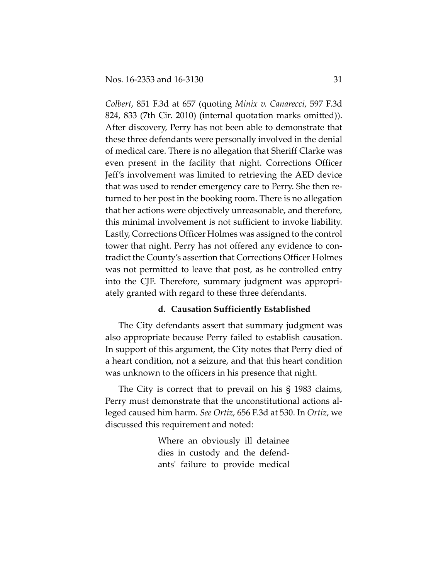*Colbert*, 851 F.3d at 657 (quoting *Minix v. Canarecci*, 597 F.3d 824, 833 (7th Cir. 2010) (internal quotation marks omitted)). After discovery, Perry has not been able to demonstrate that these three defendants were personally involved in the denial of medical care. There is no allegation that Sheriff Clarke was even present in the facility that night. Corrections Officer Jeff's involvement was limited to retrieving the AED device that was used to render emergency care to Perry. She then re‐ turned to her post in the booking room. There is no allegation that her actions were objectively unreasonable, and therefore, this minimal involvement is not sufficient to invoke liability. Lastly, Corrections Officer Holmes was assigned to the control tower that night. Perry has not offered any evidence to con‐ tradict the County's assertion that Corrections Officer Holmes was not permitted to leave that post, as he controlled entry into the CJF. Therefore, summary judgment was appropri‐ ately granted with regard to these three defendants.

## **d. Causation Sufficiently Established**

The City defendants assert that summary judgment was also appropriate because Perry failed to establish causation. In support of this argument, the City notes that Perry died of a heart condition, not a seizure, and that this heart condition was unknown to the officers in his presence that night.

The City is correct that to prevail on his § 1983 claims, Perry must demonstrate that the unconstitutional actions al‐ leged caused him harm. *See Ortiz*, 656 F.3d at 530. In *Ortiz*, we discussed this requirement and noted:

> Where an obviously ill detainee dies in custody and the defend‐ antsʹ failure to provide medical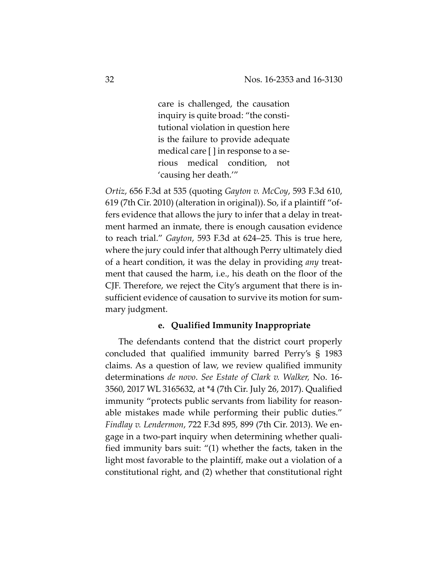care is challenged, the causation inquiry is quite broad: "the consti‐ tutional violation in question here is the failure to provide adequate medical care [ ] in response to a se‐ rious medical condition, not 'causing her death.'"

*Ortiz*, 656 F.3d at 535 (quoting *Gayton v. McCoy*, 593 F.3d 610, 619 (7th Cir. 2010) (alteration in original)). So, if a plaintiff "of‐ fers evidence that allows the jury to infer that a delay in treat‐ ment harmed an inmate, there is enough causation evidence to reach trial." *Gayton*, 593 F.3d at 624–25. This is true here, where the jury could infer that although Perry ultimately died of a heart condition, it was the delay in providing *any* treat‐ ment that caused the harm, i.e., his death on the floor of the CJF. Therefore, we reject the City's argument that there is in‐ sufficient evidence of causation to survive its motion for sum‐ mary judgment.

## **e. Qualified Immunity Inappropriate**

The defendants contend that the district court properly concluded that qualified immunity barred Perry's § 1983 claims. As a question of law, we review qualified immunity determinations *de novo*. *See Estate of Clark v. Walker,* No. 16‐ 3560, 2017 WL 3165632, at \*4 (7th Cir. July 26, 2017). Qualified immunity "protects public servants from liability for reason‐ able mistakes made while performing their public duties." *Findlay v. Lendermon*, 722 F.3d 895, 899 (7th Cir. 2013). We en‐ gage in a two‐part inquiry when determining whether quali‐ fied immunity bars suit: "(1) whether the facts, taken in the light most favorable to the plaintiff, make out a violation of a constitutional right, and (2) whether that constitutional right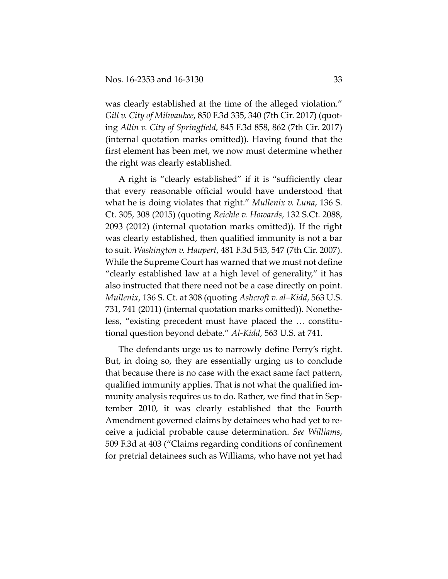was clearly established at the time of the alleged violation." *Gill v. City of Milwaukee*, 850 F.3d 335, 340 (7th Cir. 2017) (quot‐ ing *Allin v. City of Springfield*, 845 F.3d 858, 862 (7th Cir. 2017) (internal quotation marks omitted)). Having found that the first element has been met, we now must determine whether the right was clearly established.

A right is "clearly established" if it is "sufficiently clear that every reasonable official would have understood that what he is doing violates that right." *Mullenix v. Luna*, 136 S. Ct. 305, 308 (2015) (quoting *Reichle v. Howards*, 132 S.Ct. 2088, 2093 (2012) (internal quotation marks omitted)). If the right was clearly established, then qualified immunity is not a bar to suit. *Washington v. Haupert*, 481 F.3d 543, 547 (7th Cir. 2007). While the Supreme Court has warned that we must not define "clearly established law at a high level of generality," it has also instructed that there need not be a case directly on point. *Mullenix*, 136 S. Ct. at 308 (quoting *Ashcroft v. al–Kidd*, 563 U.S. 731, 741 (2011) (internal quotation marks omitted)). Nonethe‐ less, "existing precedent must have placed the ... constitutional question beyond debate." *Al‐Kidd*, 563 U.S. at 741.

The defendants urge us to narrowly define Perry's right. But, in doing so, they are essentially urging us to conclude that because there is no case with the exact same fact pattern, qualified immunity applies. That is not what the qualified im‐ munity analysis requires us to do. Rather, we find that in Sep‐ tember 2010, it was clearly established that the Fourth Amendment governed claims by detainees who had yet to re‐ ceive a judicial probable cause determination. *See Williams*, 509 F.3d at 403 ("Claims regarding conditions of confinement for pretrial detainees such as Williams, who have not yet had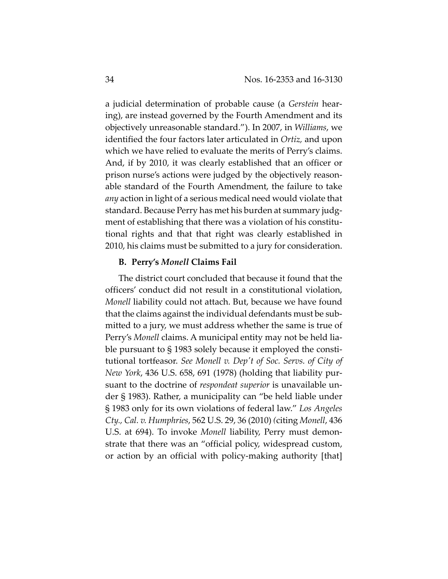a judicial determination of probable cause (a *Gerstein* hear‐ ing), are instead governed by the Fourth Amendment and its objectively unreasonable standard."). In 2007, in *Williams*, we identified the four factors later articulated in *Ortiz,* and upon which we have relied to evaluate the merits of Perry's claims. And, if by 2010, it was clearly established that an officer or prison nurse's actions were judged by the objectively reason‐ able standard of the Fourth Amendment, the failure to take *any* action in light of a serious medical need would violate that standard. Because Perry has met his burden at summary judg‐ ment of establishing that there was a violation of his constitutional rights and that that right was clearly established in 2010, his claims must be submitted to a jury for consideration.

## **B. Perry's** *Monell* **Claims Fail**

The district court concluded that because it found that the officers' conduct did not result in a constitutional violation, *Monell* liability could not attach. But, because we have found that the claims against the individual defendants must be sub‐ mitted to a jury, we must address whether the same is true of Perry's *Monell* claims. A municipal entity may not be held lia‐ ble pursuant to § 1983 solely because it employed the constitutional tortfeasor. *See Monell v. Depʹt of Soc. Servs. of City of New York*, 436 U.S. 658, 691 (1978) (holding that liability pur‐ suant to the doctrine of *respondeat superior* is unavailable un‐ der § 1983). Rather, a municipality can "be held liable under § 1983 only for its own violations of federal law." *Los Angeles Cty., Cal. v. Humphries*, 562 U.S. 29, 36 (2010) *(*citing *Monell*, 436 U.S. at 694). To invoke *Monell* liability, Perry must demonstrate that there was an "official policy, widespread custom, or action by an official with policy-making authority [that]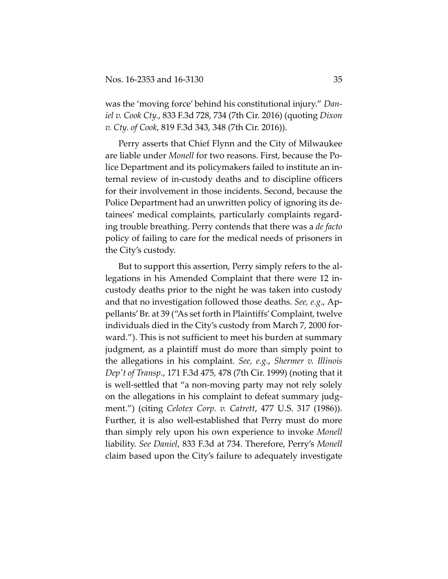was the 'moving force' behind his constitutional injury." *Dan‐ iel v. Cook Cty.*, 833 F.3d 728, 734 (7th Cir. 2016) (quoting *Dixon v. Cty. of Cook*, 819 F.3d 343, 348 (7th Cir. 2016)).

Perry asserts that Chief Flynn and the City of Milwaukee are liable under *Monell* for two reasons. First, because the Police Department and its policymakers failed to institute an in‐ ternal review of in‐custody deaths and to discipline officers for their involvement in those incidents. Second, because the Police Department had an unwritten policy of ignoring its de‐ tainees' medical complaints, particularly complaints regard‐ ing trouble breathing. Perry contends that there was a *de facto* policy of failing to care for the medical needs of prisoners in the City's custody.

But to support this assertion, Perry simply refers to the allegations in his Amended Complaint that there were 12 in‐ custody deaths prior to the night he was taken into custody and that no investigation followed those deaths. *See, e.g*., Ap‐ pellants'Br. at 39 ("As set forth in Plaintiffs'Complaint, twelve individuals died in the City's custody from March 7, 2000 for‐ ward."). This is not sufficient to meet his burden at summary judgment, as a plaintiff must do more than simply point to the allegations in his complaint. *See, e.g*., *Shermer v. Illinois Depʹt of Transp*., 171 F.3d 475, 478 (7th Cir. 1999) (noting that it is well‐settled that "a non‐moving party may not rely solely on the allegations in his complaint to defeat summary judg‐ ment.") (citing *Celotex Corp. v. Catrett*, 477 U.S. 317 (1986)). Further, it is also well-established that Perry must do more than simply rely upon his own experience to invoke *Monell* liability. *See Daniel*, 833 F.3d at 734. Therefore, Perry's *Monell* claim based upon the City's failure to adequately investigate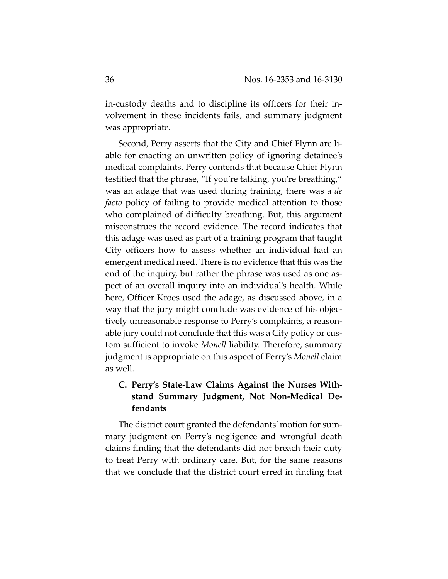in-custody deaths and to discipline its officers for their involvement in these incidents fails, and summary judgment was appropriate.

Second, Perry asserts that the City and Chief Flynn are li‐ able for enacting an unwritten policy of ignoring detainee's medical complaints. Perry contends that because Chief Flynn testified that the phrase, "If you're talking, you're breathing," was an adage that was used during training, there was a *de facto* policy of failing to provide medical attention to those who complained of difficulty breathing. But, this argument misconstrues the record evidence. The record indicates that this adage was used as part of a training program that taught City officers how to assess whether an individual had an emergent medical need. There is no evidence that this was the end of the inquiry, but rather the phrase was used as one as‐ pect of an overall inquiry into an individual's health. While here, Officer Kroes used the adage, as discussed above, in a way that the jury might conclude was evidence of his objectively unreasonable response to Perry's complaints, a reason‐ able jury could not conclude that this was a City policy or cus‐ tom sufficient to invoke *Monell* liability. Therefore, summary judgment is appropriate on this aspect of Perry's *Monell* claim as well.

# **C. Perry's State‐Law Claims Against the Nurses With‐ stand Summary Judgment, Not Non‐Medical De‐ fendants**

The district court granted the defendants' motion for sum‐ mary judgment on Perry's negligence and wrongful death claims finding that the defendants did not breach their duty to treat Perry with ordinary care. But, for the same reasons that we conclude that the district court erred in finding that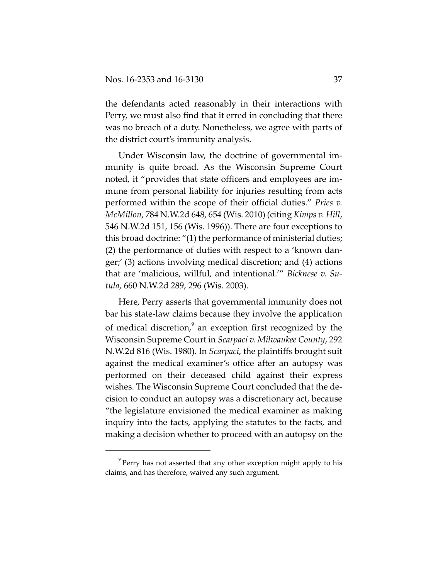the defendants acted reasonably in their interactions with Perry, we must also find that it erred in concluding that there was no breach of a duty. Nonetheless, we agree with parts of the district court's immunity analysis.

Under Wisconsin law, the doctrine of governmental im‐ munity is quite broad. As the Wisconsin Supreme Court noted, it "provides that state officers and employees are im‐ mune from personal liability for injuries resulting from acts performed within the scope of their official duties." *Pries v. McMillon*, 784 N.W.2d 648, 654 (Wis. 2010) (citing *Kimps v. Hill*, 546 N.W.2d 151, 156 (Wis. 1996)). There are four exceptions to this broad doctrine: "(1) the performance of ministerial duties; (2) the performance of duties with respect to a 'known dan‐ ger;' (3) actions involving medical discretion; and (4) actions that are 'malicious, willful, and intentional.'" *Bicknese v. Su‐ tula*, 660 N.W.2d 289, 296 (Wis. 2003).

Here, Perry asserts that governmental immunity does not bar his state‐law claims because they involve the application of medical discretion,<sup>9</sup> an exception first recognized by the Wisconsin Supreme Court in *Scarpaci v. Milwaukee County*, 292 N.W.2d 816 (Wis. 1980). In *Scarpaci*, the plaintiffs brought suit against the medical examiner's office after an autopsy was performed on their deceased child against their express wishes. The Wisconsin Supreme Court concluded that the de‐ cision to conduct an autopsy was a discretionary act, because "the legislature envisioned the medical examiner as making inquiry into the facts, applying the statutes to the facts, and making a decision whether to proceed with an autopsy on the

<sup>&</sup>lt;sup>9</sup> Perry has not asserted that any other exception might apply to his claims, and has therefore, waived any such argument.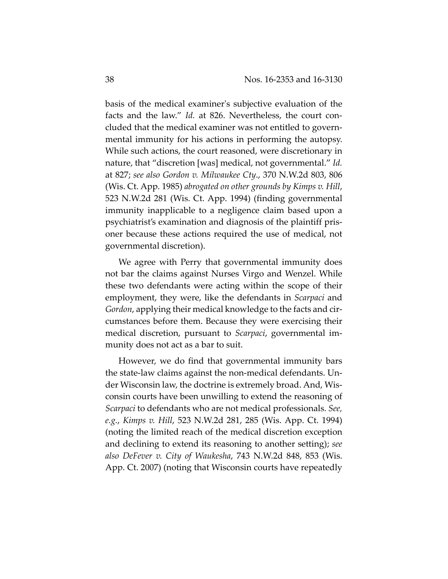basis of the medical examinerʹs subjective evaluation of the facts and the law." *Id.* at 826. Nevertheless, the court concluded that the medical examiner was not entitled to govern‐ mental immunity for his actions in performing the autopsy. While such actions, the court reasoned, were discretionary in nature, that "discretion [was] medical, not governmental." *Id.* at 827; *see also Gordon v. Milwaukee Cty*., 370 N.W.2d 803, 806 (Wis. Ct. App. 1985) *abrogated on other grounds by Kimps v. Hill*, 523 N.W.2d 281 (Wis. Ct. App. 1994) (finding governmental immunity inapplicable to a negligence claim based upon a psychiatrist's examination and diagnosis of the plaintiff pris‐ oner because these actions required the use of medical, not governmental discretion).

We agree with Perry that governmental immunity does not bar the claims against Nurses Virgo and Wenzel. While these two defendants were acting within the scope of their employment, they were, like the defendants in *Scarpaci* and *Gordon*, applying their medical knowledge to the facts and cir‐ cumstances before them. Because they were exercising their medical discretion, pursuant to *Scarpaci*, governmental im‐ munity does not act as a bar to suit.

However, we do find that governmental immunity bars the state‐law claims against the non‐medical defendants. Un‐ der Wisconsin law, the doctrine is extremely broad. And, Wis‐ consin courts have been unwilling to extend the reasoning of *Scarpaci* to defendants who are not medical professionals. *See, e.g.*, *Kimps v. Hill*, 523 N.W.2d 281, 285 (Wis. App. Ct. 1994) (noting the limited reach of the medical discretion exception and declining to extend its reasoning to another setting); *see also DeFever v. City of Waukesha*, 743 N.W.2d 848, 853 (Wis. App. Ct. 2007) (noting that Wisconsin courts have repeatedly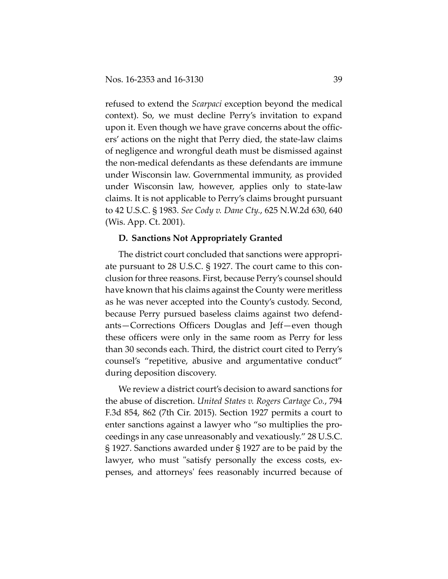refused to extend the *Scarpaci* exception beyond the medical context). So, we must decline Perry's invitation to expand upon it. Even though we have grave concerns about the offic‐ ers' actions on the night that Perry died, the state‐law claims of negligence and wrongful death must be dismissed against the non‐medical defendants as these defendants are immune under Wisconsin law. Governmental immunity, as provided under Wisconsin law, however, applies only to state‐law claims. It is not applicable to Perry's claims brought pursuant to 42 U.S.C. § 1983. *See Cody v. Dane Cty.*, 625 N.W.2d 630, 640 (Wis. App. Ct. 2001).

## **D. Sanctions Not Appropriately Granted**

The district court concluded that sanctions were appropri‐ ate pursuant to 28 U.S.C. § 1927. The court came to this con‐ clusion for three reasons. First, because Perry's counsel should have known that his claims against the County were meritless as he was never accepted into the County's custody. Second, because Perry pursued baseless claims against two defend‐ ants—Corrections Officers Douglas and Jeff—even though these officers were only in the same room as Perry for less than 30 seconds each. Third, the district court cited to Perry's counsel's "repetitive, abusive and argumentative conduct" during deposition discovery.

We review a district court's decision to award sanctions for the abuse of discretion. *United States v. Rogers Cartage Co.*, 794 F.3d 854, 862 (7th Cir. 2015). Section 1927 permits a court to enter sanctions against a lawyer who "so multiplies the pro‐ ceedings in any case unreasonably and vexatiously." 28 U.S.C. § 1927. Sanctions awarded under § 1927 are to be paid by the lawyer, who must "satisfy personally the excess costs, expenses, and attorneysʹ fees reasonably incurred because of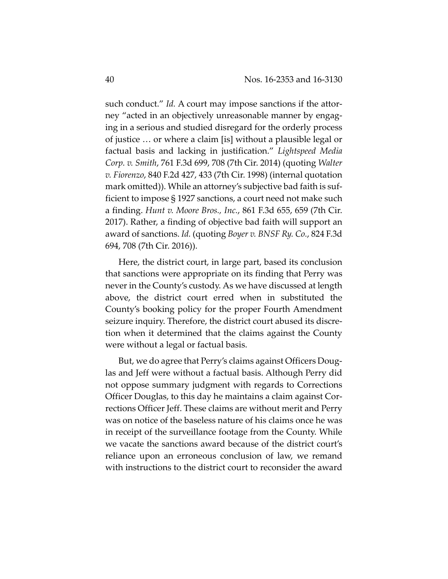such conduct." *Id.* A court may impose sanctions if the attorney "acted in an objectively unreasonable manner by engaging in a serious and studied disregard for the orderly process of justice … or where a claim [is] without a plausible legal or factual basis and lacking in justification." *Lightspeed Media Corp. v. Smith*, 761 F.3d 699, 708 (7th Cir. 2014) (quoting *Walter v. Fiorenzo*, 840 F.2d 427, 433 (7th Cir. 1998) (internal quotation mark omitted)). While an attorney's subjective bad faith is suf‐ ficient to impose § 1927 sanctions, a court need not make such a finding. *Hunt v. Moore Bros., Inc.*, 861 F.3d 655, 659 (7th Cir. 2017). Rather, a finding of objective bad faith will support an award of sanctions. *Id.* (quoting *Boyer v. BNSF Ry. Co.*, 824 F.3d 694, 708 (7th Cir. 2016)).

Here, the district court, in large part, based its conclusion that sanctions were appropriate on its finding that Perry was never in the County's custody. As we have discussed at length above, the district court erred when in substituted the County's booking policy for the proper Fourth Amendment seizure inquiry. Therefore, the district court abused its discre‐ tion when it determined that the claims against the County were without a legal or factual basis.

But, we do agree that Perry's claims against Officers Douglas and Jeff were without a factual basis. Although Perry did not oppose summary judgment with regards to Corrections Officer Douglas, to this day he maintains a claim against Cor‐ rections Officer Jeff. These claims are without merit and Perry was on notice of the baseless nature of his claims once he was in receipt of the surveillance footage from the County. While we vacate the sanctions award because of the district court's reliance upon an erroneous conclusion of law, we remand with instructions to the district court to reconsider the award